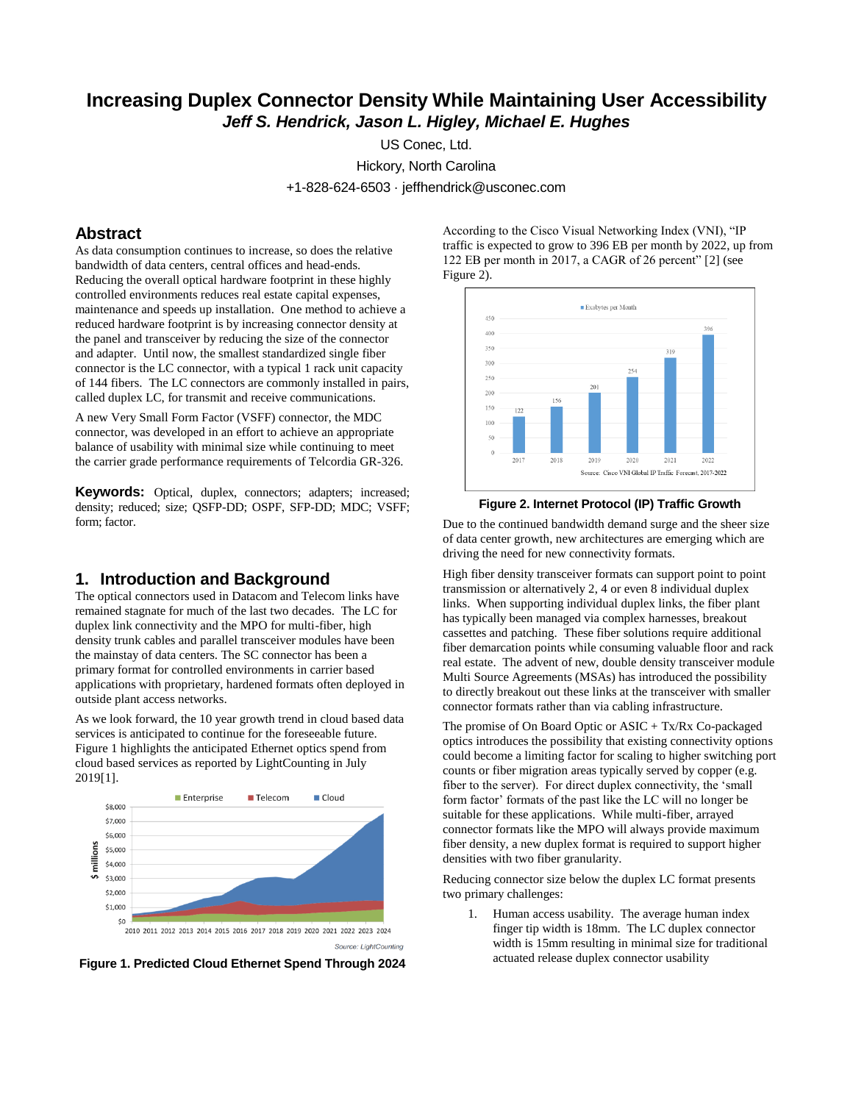# **Increasing Duplex Connector Density While Maintaining User Accessibility**  *Jeff S. Hendrick, Jason L. Higley, Michael E. Hughes*

US Conec, Ltd.

Hickory, North Carolina

+1-828-624-6503 · jeffhendrick@usconec.com

## **Abstract**

As data consumption continues to increase, so does the relative bandwidth of data centers, central offices and head-ends. Reducing the overall optical hardware footprint in these highly controlled environments reduces real estate capital expenses, maintenance and speeds up installation. One method to achieve a reduced hardware footprint is by increasing connector density at the panel and transceiver by reducing the size of the connector and adapter. Until now, the smallest standardized single fiber connector is the LC connector, with a typical 1 rack unit capacity of 144 fibers. The LC connectors are commonly installed in pairs, called duplex LC, for transmit and receive communications.

A new Very Small Form Factor (VSFF) connector, the MDC connector, was developed in an effort to achieve an appropriate balance of usability with minimal size while continuing to meet the carrier grade performance requirements of Telcordia GR-326.

**Keywords:** Optical, duplex, connectors; adapters; increased; density; reduced; size; QSFP-DD; OSPF, SFP-DD; MDC; VSFF; form; factor.

# **1. Introduction and Background**

The optical connectors used in Datacom and Telecom links have remained stagnate for much of the last two decades. The LC for duplex link connectivity and the MPO for multi-fiber, high density trunk cables and parallel transceiver modules have been the mainstay of data centers. The SC connector has been a primary format for controlled environments in carrier based applications with proprietary, hardened formats often deployed in outside plant access networks.

As we look forward, the 10 year growth trend in cloud based data services is anticipated to continue for the foreseeable future. Figure 1 highlights the anticipated Ethernet optics spend from cloud based services as reported by LightCounting in July 2019[1].



**Figure 1. Predicted Cloud Ethernet Spend Through 2024**

According to the Cisco Visual Networking Index (VNI), "IP traffic is expected to grow to 396 EB per month by 2022, up from 122 EB per month in 2017, a CAGR of 26 percent" [2] (see Figure 2).





Due to the continued bandwidth demand surge and the sheer size of data center growth, new architectures are emerging which are driving the need for new connectivity formats.

High fiber density transceiver formats can support point to point transmission or alternatively 2, 4 or even 8 individual duplex links. When supporting individual duplex links, the fiber plant has typically been managed via complex harnesses, breakout cassettes and patching. These fiber solutions require additional fiber demarcation points while consuming valuable floor and rack real estate. The advent of new, double density transceiver module Multi Source Agreements (MSAs) has introduced the possibility to directly breakout out these links at the transceiver with smaller connector formats rather than via cabling infrastructure.

The promise of On Board Optic or ASIC + Tx/Rx Co-packaged optics introduces the possibility that existing connectivity options could become a limiting factor for scaling to higher switching port counts or fiber migration areas typically served by copper (e.g. fiber to the server). For direct duplex connectivity, the 'small form factor' formats of the past like the LC will no longer be suitable for these applications. While multi-fiber, arrayed connector formats like the MPO will always provide maximum fiber density, a new duplex format is required to support higher densities with two fiber granularity.

Reducing connector size below the duplex LC format presents two primary challenges:

1. Human access usability. The average human index finger tip width is 18mm. The LC duplex connector width is 15mm resulting in minimal size for traditional actuated release duplex connector usability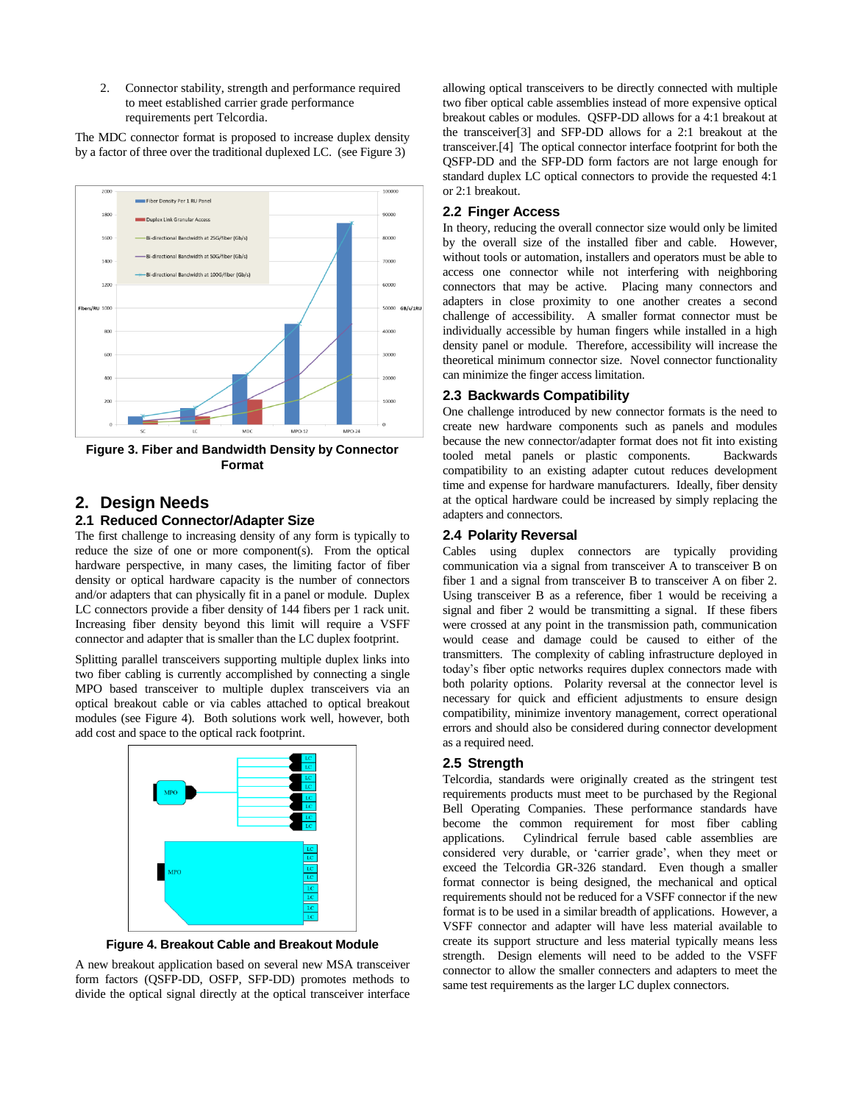2. Connector stability, strength and performance required to meet established carrier grade performance requirements pert Telcordia.

The MDC connector format is proposed to increase duplex density by a factor of three over the traditional duplexed LC. (see Figure 3)



**Figure 3. Fiber and Bandwidth Density by Connector Format**

# **2. Design Needs**

## **2.1 Reduced Connector/Adapter Size**

The first challenge to increasing density of any form is typically to reduce the size of one or more component(s). From the optical hardware perspective, in many cases, the limiting factor of fiber density or optical hardware capacity is the number of connectors and/or adapters that can physically fit in a panel or module. Duplex LC connectors provide a fiber density of 144 fibers per 1 rack unit. Increasing fiber density beyond this limit will require a VSFF connector and adapter that is smaller than the LC duplex footprint.

Splitting parallel transceivers supporting multiple duplex links into two fiber cabling is currently accomplished by connecting a single MPO based transceiver to multiple duplex transceivers via an optical breakout cable or via cables attached to optical breakout modules (see Figure 4). Both solutions work well, however, both add cost and space to the optical rack footprint.



**Figure 4. Breakout Cable and Breakout Module**

A new breakout application based on several new MSA transceiver form factors (QSFP-DD, OSFP, SFP-DD) promotes methods to divide the optical signal directly at the optical transceiver interface

allowing optical transceivers to be directly connected with multiple two fiber optical cable assemblies instead of more expensive optical breakout cables or modules. QSFP-DD allows for a 4:1 breakout at the transceiver[3] and SFP-DD allows for a 2:1 breakout at the transceiver.[4] The optical connector interface footprint for both the QSFP-DD and the SFP-DD form factors are not large enough for standard duplex LC optical connectors to provide the requested 4:1 or 2:1 breakout.

#### **2.2 Finger Access**

In theory, reducing the overall connector size would only be limited by the overall size of the installed fiber and cable. However, without tools or automation, installers and operators must be able to access one connector while not interfering with neighboring connectors that may be active. Placing many connectors and adapters in close proximity to one another creates a second challenge of accessibility. A smaller format connector must be individually accessible by human fingers while installed in a high density panel or module. Therefore, accessibility will increase the theoretical minimum connector size. Novel connector functionality can minimize the finger access limitation.

#### **2.3 Backwards Compatibility**

One challenge introduced by new connector formats is the need to create new hardware components such as panels and modules because the new connector/adapter format does not fit into existing tooled metal panels or plastic components. Backwards compatibility to an existing adapter cutout reduces development time and expense for hardware manufacturers. Ideally, fiber density at the optical hardware could be increased by simply replacing the adapters and connectors.

### **2.4 Polarity Reversal**

Cables using duplex connectors are typically providing communication via a signal from transceiver A to transceiver B on fiber 1 and a signal from transceiver B to transceiver A on fiber 2. Using transceiver B as a reference, fiber 1 would be receiving a signal and fiber 2 would be transmitting a signal. If these fibers were crossed at any point in the transmission path, communication would cease and damage could be caused to either of the transmitters. The complexity of cabling infrastructure deployed in today's fiber optic networks requires duplex connectors made with both polarity options. Polarity reversal at the connector level is necessary for quick and efficient adjustments to ensure design compatibility, minimize inventory management, correct operational errors and should also be considered during connector development as a required need.

#### **2.5 Strength**

Telcordia, standards were originally created as the stringent test requirements products must meet to be purchased by the Regional Bell Operating Companies. These performance standards have become the common requirement for most fiber cabling applications. Cylindrical ferrule based cable assemblies are considered very durable, or 'carrier grade', when they meet or exceed the Telcordia GR-326 standard. Even though a smaller format connector is being designed, the mechanical and optical requirements should not be reduced for a VSFF connector if the new format is to be used in a similar breadth of applications. However, a VSFF connector and adapter will have less material available to create its support structure and less material typically means less strength. Design elements will need to be added to the VSFF connector to allow the smaller connecters and adapters to meet the same test requirements as the larger LC duplex connectors.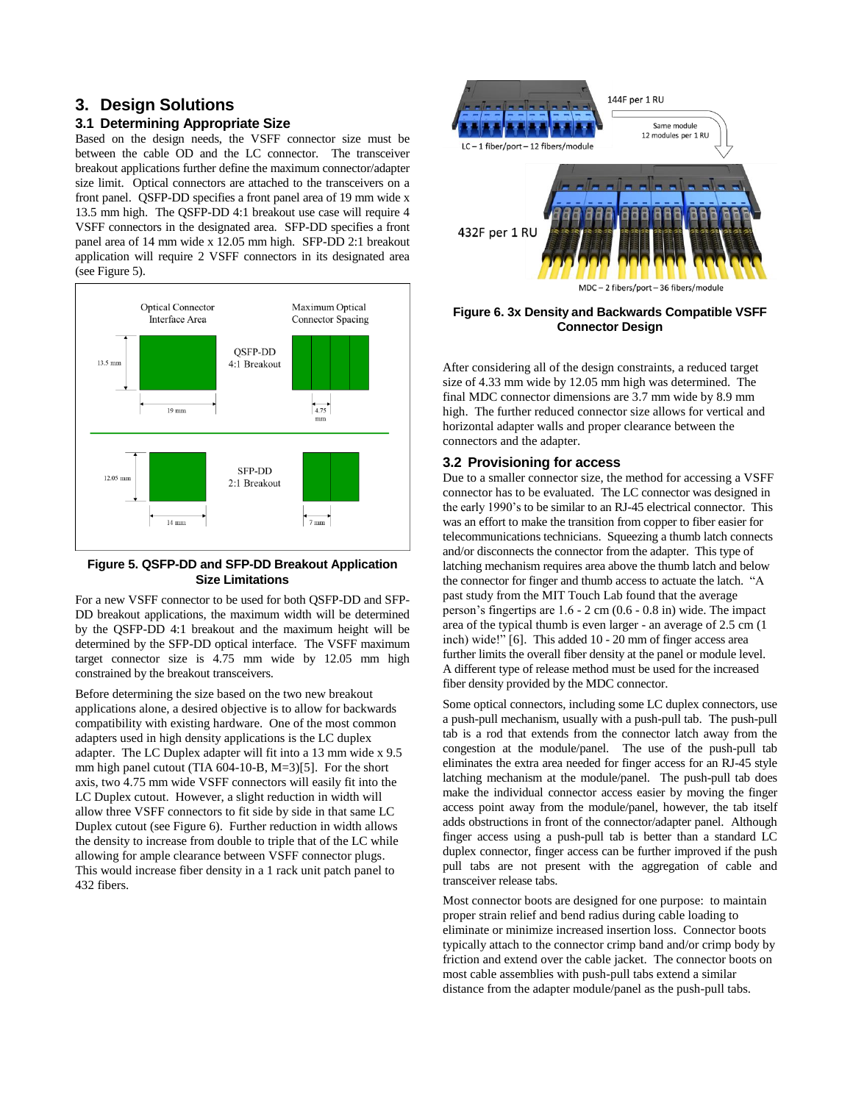# **3. Design Solutions**

## **3.1 Determining Appropriate Size**

Based on the design needs, the VSFF connector size must be between the cable OD and the LC connector. The transceiver breakout applications further define the maximum connector/adapter size limit. Optical connectors are attached to the transceivers on a front panel. QSFP-DD specifies a front panel area of 19 mm wide x 13.5 mm high. The QSFP-DD 4:1 breakout use case will require 4 VSFF connectors in the designated area. SFP-DD specifies a front panel area of 14 mm wide x 12.05 mm high. SFP-DD 2:1 breakout application will require 2 VSFF connectors in its designated area (see Figure 5).



#### **Figure 5. QSFP-DD and SFP-DD Breakout Application Size Limitations**

For a new VSFF connector to be used for both QSFP-DD and SFP-DD breakout applications, the maximum width will be determined by the QSFP-DD 4:1 breakout and the maximum height will be determined by the SFP-DD optical interface. The VSFF maximum target connector size is 4.75 mm wide by 12.05 mm high constrained by the breakout transceivers.

Before determining the size based on the two new breakout applications alone, a desired objective is to allow for backwards compatibility with existing hardware. One of the most common adapters used in high density applications is the LC duplex adapter. The LC Duplex adapter will fit into a 13 mm wide x 9.5 mm high panel cutout (TIA 604-10-B, M=3)[5]. For the short axis, two 4.75 mm wide VSFF connectors will easily fit into the LC Duplex cutout. However, a slight reduction in width will allow three VSFF connectors to fit side by side in that same LC Duplex cutout (see Figure 6). Further reduction in width allows the density to increase from double to triple that of the LC while allowing for ample clearance between VSFF connector plugs. This would increase fiber density in a 1 rack unit patch panel to 432 fibers.



**Figure 6. 3x Density and Backwards Compatible VSFF Connector Design**

After considering all of the design constraints, a reduced target size of 4.33 mm wide by 12.05 mm high was determined. The final MDC connector dimensions are 3.7 mm wide by 8.9 mm high. The further reduced connector size allows for vertical and horizontal adapter walls and proper clearance between the connectors and the adapter.

## **3.2 Provisioning for access**

Due to a smaller connector size, the method for accessing a VSFF connector has to be evaluated. The LC connector was designed in the early 1990's to be similar to an RJ-45 electrical connector. This was an effort to make the transition from copper to fiber easier for telecommunications technicians. Squeezing a thumb latch connects and/or disconnects the connector from the adapter. This type of latching mechanism requires area above the thumb latch and below the connector for finger and thumb access to actuate the latch. "A past study from the MIT Touch Lab found that the average person's fingertips are 1.6 - 2 cm (0.6 - 0.8 in) wide. The impact area of the typical thumb is even larger - an average of 2.5 cm (1 inch) wide!" [6]. This added 10 - 20 mm of finger access area further limits the overall fiber density at the panel or module level. A different type of release method must be used for the increased fiber density provided by the MDC connector.

Some optical connectors, including some LC duplex connectors, use a push-pull mechanism, usually with a push-pull tab. The push-pull tab is a rod that extends from the connector latch away from the congestion at the module/panel. The use of the push-pull tab eliminates the extra area needed for finger access for an RJ-45 style latching mechanism at the module/panel. The push-pull tab does make the individual connector access easier by moving the finger access point away from the module/panel, however, the tab itself adds obstructions in front of the connector/adapter panel. Although finger access using a push-pull tab is better than a standard LC duplex connector, finger access can be further improved if the push pull tabs are not present with the aggregation of cable and transceiver release tabs.

Most connector boots are designed for one purpose: to maintain proper strain relief and bend radius during cable loading to eliminate or minimize increased insertion loss. Connector boots typically attach to the connector crimp band and/or crimp body by friction and extend over the cable jacket. The connector boots on most cable assemblies with push-pull tabs extend a similar distance from the adapter module/panel as the push-pull tabs.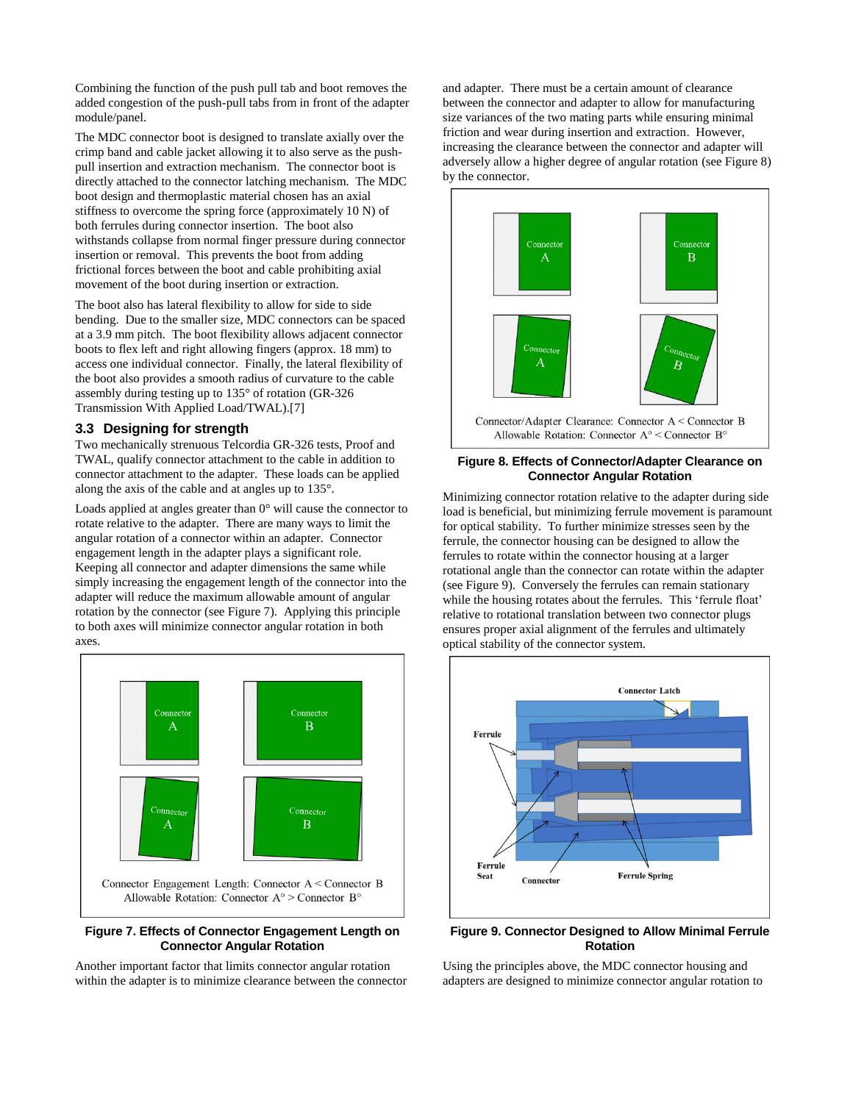Combining the function of the push pull tab and boot removes the added congestion of the push-pull tabs from in front of the adapter module/panel.

The MDC connector boot is designed to translate axially over the crimp band and cable jacket allowing it to also serve as the pushpull insertion and extraction mechanism. The connector boot is directly attached to the connector latching mechanism. The MDC boot design and thermoplastic material chosen has an axial stiffness to overcome the spring force (approximately 10 N) of both ferrules during connector insertion. The boot also withstands collapse from normal finger pressure during connector insertion or removal. This prevents the boot from adding frictional forces between the boot and cable prohibiting axial movement of the boot during insertion or extraction.

The boot also has lateral flexibility to allow for side to side bending. Due to the smaller size, MDC connectors can be spaced at a 3.9 mm pitch. The boot flexibility allows adjacent connector boots to flex left and right allowing fingers (approx. 18 mm) to access one individual connector. Finally, the lateral flexibility of the boot also provides a smooth radius of curvature to the cable assembly during testing up to 135° of rotation (GR-326 Transmission With Applied Load/TWAL).[7]

## **3.3 Designing for strength**

Two mechanically strenuous Telcordia GR-326 tests, Proof and TWAL, qualify connector attachment to the cable in addition to connector attachment to the adapter. These loads can be applied along the axis of the cable and at angles up to 135°.

Loads applied at angles greater than 0° will cause the connector to rotate relative to the adapter. There are many ways to limit the angular rotation of a connector within an adapter. Connector engagement length in the adapter plays a significant role. Keeping all connector and adapter dimensions the same while simply increasing the engagement length of the connector into the adapter will reduce the maximum allowable amount of angular rotation by the connector (see Figure 7). Applying this principle to both axes will minimize connector angular rotation in both axes.



#### **Figure 7. Effects of Connector Engagement Length on Connector Angular Rotation**

Another important factor that limits connector angular rotation within the adapter is to minimize clearance between the connector

and adapter. There must be a certain amount of clearance between the connector and adapter to allow for manufacturing size variances of the two mating parts while ensuring minimal friction and wear during insertion and extraction. However, increasing the clearance between the connector and adapter will adversely allow a higher degree of angular rotation (see Figure 8) by the connector.



#### **Figure 8. Effects of Connector/Adapter Clearance on Connector Angular Rotation**

Minimizing connector rotation relative to the adapter during side load is beneficial, but minimizing ferrule movement is paramount for optical stability. To further minimize stresses seen by the ferrule, the connector housing can be designed to allow the ferrules to rotate within the connector housing at a larger rotational angle than the connector can rotate within the adapter (see Figure 9). Conversely the ferrules can remain stationary while the housing rotates about the ferrules. This 'ferrule float' relative to rotational translation between two connector plugs ensures proper axial alignment of the ferrules and ultimately optical stability of the connector system.



## **Figure 9. Connector Designed to Allow Minimal Ferrule Rotation**

Using the principles above, the MDC connector housing and adapters are designed to minimize connector angular rotation to